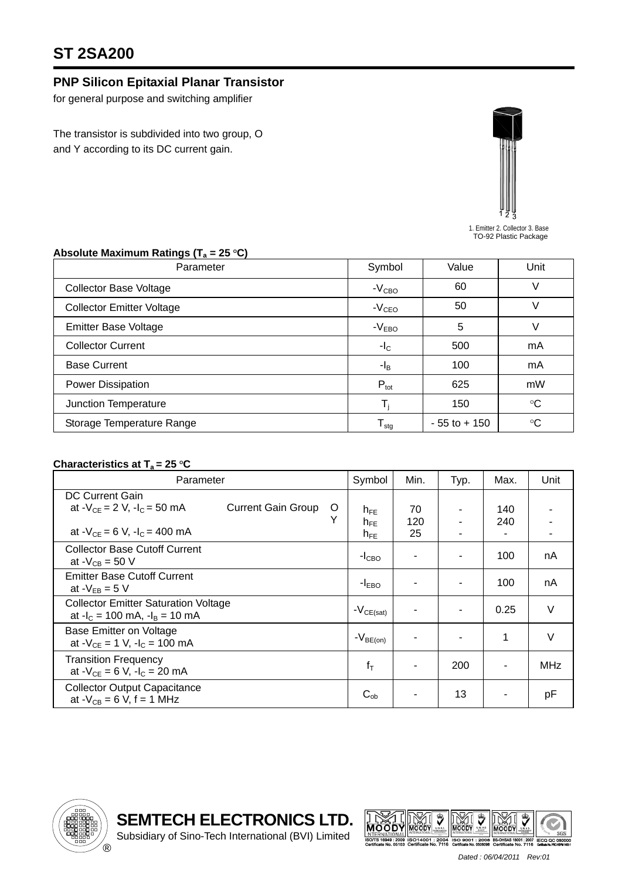## **ST 2SA200**

## **PNP Silicon Epitaxial Planar Transistor**

for general purpose and switching amplifier

The transistor is subdivided into two group, O and Y according to its DC current gain.



1. Emitter 2. Collector 3. Base TO-92 Plastic Package

| J 1 4<br>Parameter               | Symbol                     | Value           | Unit            |  |
|----------------------------------|----------------------------|-----------------|-----------------|--|
| <b>Collector Base Voltage</b>    | $-VCBO$                    | 60              | V               |  |
| <b>Collector Emitter Voltage</b> | $-VCEO$                    | 50              | V               |  |
| <b>Emitter Base Voltage</b>      | $-VEBO$                    | 5               |                 |  |
| <b>Collector Current</b>         | $-IC$                      | 500             | mA              |  |
| <b>Base Current</b>              | $-I_{\rm B}$               | 100             | mA              |  |
| Power Dissipation                | $P_{\text{tot}}$           | 625             | mW              |  |
| Junction Temperature             |                            | 150             | $\rm ^{\circ}C$ |  |
| Storage Temperature Range        | ${\mathsf T}_{\text{stg}}$ | $-55$ to $+150$ | $^{\circ}C$     |  |

## Absolute Maximum Ratings (T<sub>a</sub> = 25 °C)

## **Characteristics at T<sub>a</sub> = 25 °C**

| Parameter                                                                                                                          |        | Symbol                                  | Min.            | Typ. | Max.       | Unit   |
|------------------------------------------------------------------------------------------------------------------------------------|--------|-----------------------------------------|-----------------|------|------------|--------|
| <b>DC Current Gain</b><br>at $-V_{CE} = 2 V$ , $-I_C = 50 mA$<br><b>Current Gain Group</b><br>at $-V_{CF} = 6 V$ , $-I_C = 400$ mA | O<br>Υ | $n_{FE}$<br>$h_{\text{FF}}$<br>$h_{FE}$ | 70<br>120<br>25 | ۰    | 140<br>240 |        |
| <b>Collector Base Cutoff Current</b><br>at $-V_{CB} = 50 V$                                                                        |        | $-ICBO$                                 |                 | ٠    | 100        | nA     |
| <b>Emitter Base Cutoff Current</b><br>at $-V_{EB} = 5 V$                                                                           |        | $-I_{EBO}$                              |                 |      | 100        | nA     |
| <b>Collector Emitter Saturation Voltage</b><br>at $-I_c = 100$ mA, $-I_B = 10$ mA                                                  |        | $-V_{CE(sat)}$                          |                 | ٠    | 0.25       | $\vee$ |
| Base Emitter on Voltage<br>at $-V_{CE} = 1$ V, $-I_C = 100$ mA                                                                     |        | $-V_{\mathsf{BE(0n)}}$                  |                 |      | 1          | $\vee$ |
| <b>Transition Frequency</b><br>at $-V_{CE} = 6 V$ , $-I_C = 20 mA$                                                                 |        | $f_T$                                   |                 | 200  |            | MHz    |
| <b>Collector Output Capacitance</b><br>at $-V_{CB} = 6 V$ , f = 1 MHz                                                              |        | $C_{ob}$                                |                 | 13   |            | pF     |





 *Dated : 06/04/2011 Rev:01*